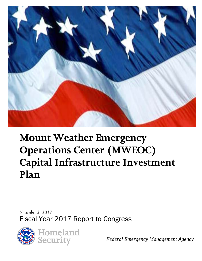

# **Mount Weather Emergency Operations Center (MWEOC) Capital Infrastructure Investment Plan**

*November 3, 2017* Fiscal Year 2017 Report to Congress



*Federal Emergency Management Agency*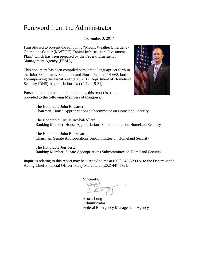### Foreword from the Administrator

November 3, 2017

I am pleased to present the following "Mount Weather Emergency Operations Center (MWEOC) Capital Infrastructure Investment Plan," which has been prepared by the Federal Emergency Management Agency (FEMA).

This document has been compiled pursuant to language set forth in the Joint Explanatory Statement and House Report 114-668, both accompanying the Fiscal Year (FY) 2017 Department of Homeland Security (DHS) Appropriations Act (P.L. 115-31).

Pursuant to congressional requirements, this report is being provided to the following Members of Congress:



The Honorable John R. Carter Chairman, House Appropriations Subcommittee on Homeland Security

The Honorable Lucille Roybal-Allard Ranking Member, House Appropriations Subcommittee on Homeland Security

The Honorable John Boozman Chairman, Senate Appropriations Subcommittee on Homeland Security

The Honorable Jon Tester Ranking Member, Senate Appropriations Subcommittee on Homeland Security

Inquiries relating to this report may be directed to me at (202) 646-3900 or to the Department's Acting Chief Financial Officer, Stacy Marcott, at (202) 447-5751.

Sincerely,

Brock Long Administrator Federal Emergency Management Agency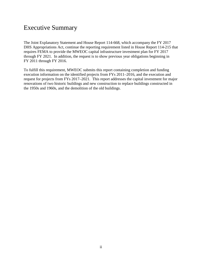### Executive Summary

The Joint Explanatory Statement and House Report 114-668, which accompany the FY 2017 DHS Appropriations Act, continue the reporting requirement listed in House Report 114-215 that requires FEMA to provide the MWEOC capital infrastructure investment plan for FY 2017 through FY 2021. In addition, the request is to show previous year obligations beginning in FY 2011 through FY 2016.

To fulfill this requirement, MWEOC submits this report containing completion and funding execution information on the identified projects from FYs 2011–2016, and the execution and request for projects from FYs 2017–2021. This report addresses the capital investment for major renovations of two historic buildings and new construction to replace buildings constructed in the 1950s and 1960s, and the demolition of the old buildings.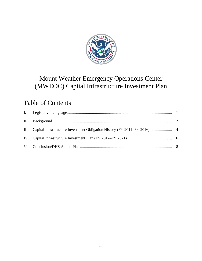

# Mount Weather Emergency Operations Center (MWEOC) Capital Infrastructure Investment Plan

# Table of Contents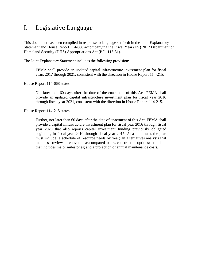### <span id="page-4-0"></span>I. Legislative Language

This document has been compiled in response to language set forth in the Joint Explanatory Statement and House Report 114-668 accompanying the Fiscal Year (FY) 2017 Department of Homeland Security (DHS) Appropriations Act (P.L. 115-31).

The Joint Explanatory Statement includes the following provision:

FEMA shall provide an updated capital infrastructure investment plan for fiscal years 2017 through 2021, consistent with the direction in House Report 114-215.

House Report 114-668 states:

Not later than 60 days after the date of the enactment of this Act, FEMA shall provide an updated capital infrastructure investment plan for fiscal year 2016 through fiscal year 2021, consistent with the direction in House Report 114-215.

House Report 114-215 states:

Further, not later than 60 days after the date of enactment of this Act, FEMA shall provide a capital infrastructure investment plan for fiscal year 2016 through fiscal year 2020 that also reports capital investment funding previously obligated beginning in fiscal year 2010 through fiscal year 2015. At a minimum, the plan must include: a schedule of resource needs by year; an alternatives analysis that includes a review of renovation as compared to new construction options; a timeline that includes major milestones; and a projection of annual maintenance costs.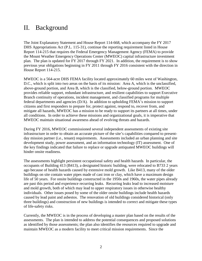### <span id="page-5-0"></span>II. Background

The Joint Explanatory Statement and House Report 114-668, which accompany the FY 2017 DHS Appropriations Act (P.L. 115-31), continue the reporting requirement listed in House Report 114-215 that requires the Federal Emergency Management Agency (FEMA) to provide the Mount Weather Emergency Operations Center (MWEOC) capital infrastructure investment plan. The plan is updated for FY 2017 through FY 2021. In addition, the requirement is to show previous year obligations beginning in FY 2011 through FY 2016 consistent with the direction in House Report 114-215.

MWEOC is a 564-acre DHS FEMA facility located approximately 60 miles west of Washington, D.C., which is split into two areas on the basis of its mission: Area A, which is the unclassified, above-ground portion, and Area B, which is the classified, below-ground portion. MWEOC provides reliable support, redundant infrastructure, and resilient capabilities to support Executive Branch continuity of operations, incident management, and classified programs for multiple federal departments and agencies (D/A). In addition to upholding FEMA's mission to support citizens and first responders to prepare for, protect against, respond to, recover from, and mitigate all hazards, MWEOC has a mission to be ready to support its partners at all times, under all conditions. In order to achieve these missions and organizational goals, it is imperative that MWEOC maintain situational awareness ahead of evolving threats and hazards.

During FY 2016, MWEOC commissioned several independent assessments of existing site infrastructure in order to obtain an accurate picture of the site's capabilities compared to presentday mission partner (i.e., tenant) requirements. Assessments included an urban planning and site development study, power assessment, and an information technology (IT) assessment. One of the key findings indicated that failure to replace or upgrade antiquated MWEOC buildings will hinder onsite readiness.

The assessments highlight persistent occupational safety and health hazards. In particular, the occupants of Building 413 (B413), a designated historic building, were relocated to B733 2 years ago because of health hazards caused by extensive mold growth. Like B413, many of the older buildings on site contain water pipes made of cast iron or clay, which have a maximum design life of 50 years. For onsite buildings constructed in the 1950s and 1960s, the water pipes already are past this period and experience recurring leaks. Recurring leaks lead to increased moisture and mold growth, both of which may lead to upper respiratory issues in otherwise healthy individuals. Other issues posed by some of the older onsite buildings include health hazards caused by lead paint and asbestos. The renovation of old buildings considered historical (only three buildings) and construction of new buildings is intended to correct and mitigate these types of life-safety risks.

Currently, the MWEOC is in the process of developing a master plan based on the results of the assessments. The plan is intended to address the potential consequences and proposed solutions as identified by those assessments; the plan also identifies the resources required to upgrade and maintain MWEOC as a modern facility to meet critical mission requirements. Since the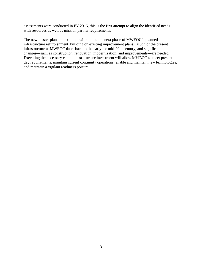assessments were conducted in FY 2016, this is the first attempt to align the identified needs with resources as well as mission partner requirements.

The new master plan and roadmap will outline the next phase of MWEOC's planned infrastructure refurbishment, building on existing improvement plans. Much of the present infrastructure at MWEOC dates back to the early- or mid-20th century, and significant changes—such as construction, renovation, modernization, and improvements—are needed. Executing the necessary capital infrastructure investment will allow MWEOC to meet presentday requirements, maintain current continuity operations, enable and maintain new technologies, and maintain a vigilant readiness posture.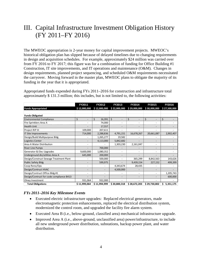# <span id="page-7-0"></span>III. Capital Infrastructure Investment Obligation History (FY 2011–FY 2016)

The MWEOC appropriation is 2-year money for capital improvement projects. MWEOC's historical obligation plan has slipped because of delayed timelines due to changing requirements in design and acquisition schedules. For example, approximately \$24 million was carried over from FY 2016 to FY 2017; this figure was for a combination of funding for Office Building #1 Construction, IT site improvements, and IT operations and maintenance (O&M). Changes in design requirements, planned project sequencing, and scheduled O&M requirements necessitated the carryover. Moving forward in the master plan, MWEOC plans to obligate the majority of its funding in the year that it is appropriated.

| Appropriated funds expended during FYs 2011–2016 for construction and infrastructure total     |
|------------------------------------------------------------------------------------------------|
| approximately \$131.3 million; this includes, but is not limited to, the following activities: |

|                                          | FY2011       | FY2012       | <b>FY2013</b>            | FY2014                   | <b>FY2015</b>                  | <b>FY2016</b>  |
|------------------------------------------|--------------|--------------|--------------------------|--------------------------|--------------------------------|----------------|
| <b>Funds Appropriated</b>                | \$12,000,000 | \$12,000,000 | \$22,000,000             | \$29,000,000             | \$30,000,000                   | \$27,500,000   |
|                                          |              |              |                          |                          |                                |                |
| <b>Funds Obligated</b>                   |              |              |                          |                          |                                |                |
| <b>Environmental Compliance</b>          | \$           | \$<br>16,391 | \$                       | \$                       | \$<br>$\overline{\phantom{0}}$ | \$             |
| Fire Sprinklers Area A                   |              | 74,000       | $\overline{\phantom{a}}$ | ٠                        | $\overline{\phantom{a}}$       |                |
| <b>Health Unit</b>                       |              | 17,557       | $\qquad \qquad -$        | $\overline{\phantom{0}}$ | $\overline{\phantom{a}}$       |                |
| Project RIP III                          | 109,000      | 207,611      |                          | $\overline{\phantom{0}}$ | $\overline{\phantom{a}}$       |                |
| IT Site Improvements                     | 714,000      | 2,288,836    | 4,791,151                | 16,678,267               | 20,661,087                     | 2,902,407      |
| Design/Build Mulitpurpose Bldg           |              | 1,265,277    | 19,582                   |                          | $\overline{\phantom{a}}$       |                |
| Logistics Center                         |              | 4,113,000    | 5,842,682                |                          | $\overline{\phantom{a}}$       |                |
| Area A Water Distribution                |              |              | 1,303,230                | 2,161,047                | $\overline{\phantom{a}}$       |                |
| <b>River Line Pumps</b>                  |              | 700,000      |                          |                          | $\overline{\phantom{a}}$       |                |
| Generator & Elec Upgrades                | 9,600,000    | 1,080,352    |                          |                          | $\overline{\phantom{a}}$       |                |
| Underground dis/utilities Area A         | 645,000      | 200,000      |                          |                          |                                |                |
| Design/Construct Sewage Treatment Plant  |              | 500,000      | $\overline{\phantom{a}}$ | 365,299                  | 8,842,563                      | 143,626        |
| <b>Public Safety Bldg</b>                |              | 599,975      |                          | 9,439,154                | 227,152                        | 499,399        |
| Coop Reno/Ops                            |              |              | 4,343,674                | 28,435                   |                                |                |
| Design/Contruct HVAC                     |              |              | 4,500,000                |                          |                                |                |
| Design/Contruct Office Bldg #1           |              |              |                          | $\blacksquare$           | $\blacksquare$                 | 1,205,743      |
| Design/Contruct for code compliance B413 |              |              | $\overline{\phantom{a}}$ | -                        | $\overline{\phantom{a}}$       | 600,000        |
| Olney Investment                         | 931,064      | 932,000      |                          |                          |                                |                |
| <b>Total Obligations</b>                 | \$11,999,064 | \$11,994,999 | \$20,800,318             | \$28,672,203             | \$29,730,802                   | Ś<br>5,351,175 |

#### *FYs 2011–2016 Key Milestone Events*

- Executed electric infrastructure upgrades: Replaced electrical generators, made electromagnetic protection enhancements, replaced the electrical distribution system, modernized the control room, and upgraded the facility fire alarm system.
- Executed Area B (i.e., below-ground, classified area) mechanical infrastructure upgrade.
- Improved Area A (i.e., above-ground, unclassified area) power/infrastructure, to include all new underground power distribution, substations, backup power plant, and water distribution.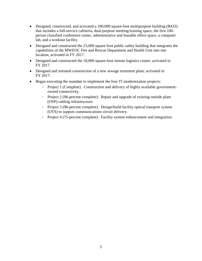- Designed, constructed, and activated a 100,000 square-foot multipurpose building (B433) that includes a full-service cafeteria, dual-purpose meeting/training space, the first 100 person classified conference center, administrative and leasable office space, a computer lab, and a workout facility.
- Designed and constructed the 23,000 square-foot public safety building that integrates the capabilities of the MWEOC Fire and Rescue Department and Health Unit into one location; activated in FY 2017.
- Designed and constructed the 18,000 square-foot remote logistics center; activated in FY 2017.
- Designed and initiated construction of a new sewage treatment plant; activated in FY 2017.
- Began executing the mandate to implement the four IT modernization projects:
	- Project 1 (Complete): Construction and delivery of highly available governmentowned connectivity.
	- Project 2 (96-percent complete): Repair and upgrade of existing outside plant (OSP) cabling infrastructure.
	- Project 3 (96-percent complete): Design/build facility optical transport system (OTS) to support communications circuit delivery.
	- Project 4 (75-percent complete): Facility system enhancement and integration.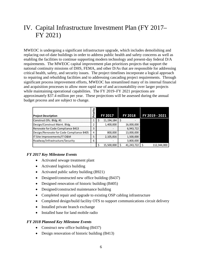# <span id="page-9-0"></span>IV. Capital Infrastructure Investment Plan (FY 2017– FY 2021)

MWEOC is undergoing a significant infrastructure upgrade, which includes demolishing and replacing out-of-date buildings in order to address public health and safety concerns as well as enabling the facilities to continue supporting modern technology and present-day federal D/A requirements. The MWEOC capital improvement plan prioritizes projects that support the national continuity missions of DHS, FEMA, and other D/As that are responsible for addressing critical health, safety, and security issues. The project timelines incorporate a logical approach to repairing and rebuilding facilities and to addressing cascading project requirements. Through significant process improvement efforts, MWEOC has streamlined many of its internal financial and acquisition processes to allow more rapid use of and accountability over larger projects while maintaining operational capabilities. The FY 2019–FY 2021 projections are approximately \$37.4 million per year. These projections will be assessed during the annual budget process and are subject to change.

| <b>Project Description</b>               | o<br>n | FY 2017      | <b>FY 2018</b> | FY 2019 - 2021 |
|------------------------------------------|--------|--------------|----------------|----------------|
| Construct Ofc. Bldg. #1                  |        | 11, 194, 184 |                |                |
| Design/Construct Maint. Bldg.            |        | 1,400,000    | 16,000,000     |                |
| Renovate for Code Compliance B413        |        |              | 6,943,722      |                |
| Design/Renovate for Code Compliance B405 | 4      | 800,000      | 13,000,000     |                |
| IT Site Improvements/IT O&M              |        | 2,105,816    | 1,500,000      |                |
| Roadway/Infrastructure/Security          | 6      |              | 3,800,000      |                |
|                                          |        | 15,500,000   | 41,243,722     | 112.344.000    |

#### *FY 2017 Key Milestone Events*

- Activated sewage treatment plant
- Activated logistics building
- Activated public safety building (B921)
- Designed/constructed new office building (B437)
- Designed renovation of historic building (B405)
- Designed/constructed maintenance building
- Completed repair and upgrade to existing OSP cabling infrastructure
- Completed design/build facility OTS to support communications circuit delivery
- Installed private branch exchange
- Installed base for land mobile radio

#### *FY 2018 Planned Key Milestone Events*

- Construct new office building (B437)
- Design renovation of historic building (B413)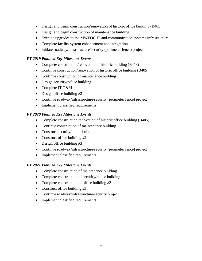- Design and begin construction/renovation of historic office building (B405)
- Design and begin construction of maintenance building
- Execute upgrades to the MWEOC IT and communication systems infrastructure
- Complete facility system enhancement and integration
- Initiate roadway/infrastructure/security (perimeter fence) project

#### *FY 2019 Planned Key Milestone Events*

- Complete construction/renovation of historic building (B413)
- Continue construction/renovation of historic office building (B405)
- Continue construction of maintenance building
- Design security/police building
- Complete IT O&M
- Design office building #2
- Continue roadway/infrastructure/security (perimeter fence) project
- Implement classified requirements

#### *FY 2020 Planned Key Milestone Events*

- Complete construction/renovation of historic office building (B405)
- Continue construction of maintenance building
- Construct security/police building
- Construct office building #2
- Design office building #3
- Continue roadway/infrastructure/security (perimeter fence) project
- Implement classified requirements

#### *FY 2021 Planned Key Milestone Events*

- Complete construction of maintenance building
- Complete construction of security/police building
- Complete construction of office building #2
- Construct office building #3
- Continue roadway/infrastructure/security project
- Implement classified requirements